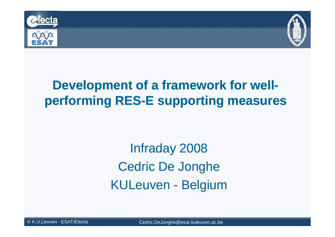



Infraday <sup>2008</sup>Cedric De JongheKULeuven - Belgium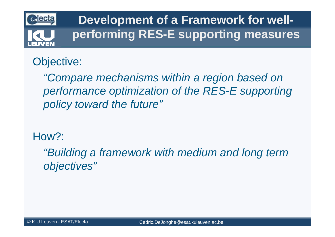

#### Objective:

"Compare mechanisms within a region based on performance optimization of the RES-E supporting policy toward the future"

How?:

"Building a framework with medium and long term objectives"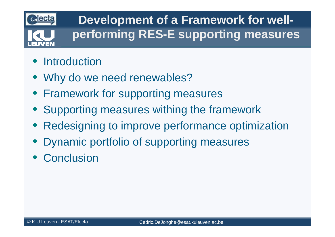

- **•** Introduction
- Why do we need renewables?
- Framework for supporting measures
- Supporting measures withing the framework
- $\bullet$ Redesigning to improve performance optimization
- $\bullet$ Dynamic portfolio of supporting measures
- Conclusion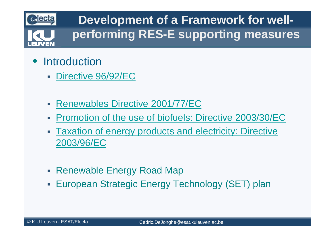

- $\bullet$ **Introduction** 
	- $\overline{\phantom{a}}$ Directive 96/92/EC
	- $\overline{\phantom{a}}$ Renewables Directive 2001/77/EC
	- Promotion of the use of biofuels: Directive 2003/30/EC  $\overline{\phantom{a}}$
	- Taxation of energy products and electricity: Directive 2003/96/EC
	- Renewable Energy Road Map
	- $\overline{\phantom{a}}$ European Strategic Energy Technology (SET) plan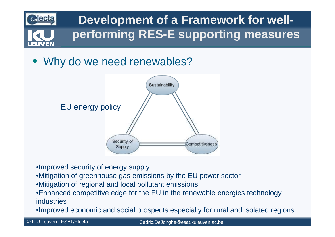

• Why do we need renewables?



- •Improved security of energy supply
- •Mitigation of greenhouse gas emissions by the EU power sector
- •Mitigation of regional and local pollutant emissions
- •Enhanced competitive edge for the EU in the renewable energies technology industries
- •Improved economic and social prospects especially for rural and isolated regions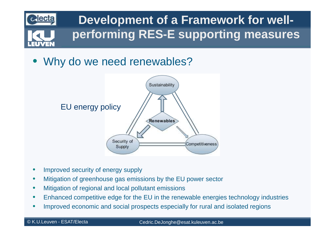

• Why do we need renewables?



- $\bullet$ Improved security of energy supply
- $\bullet$ Mitigation of greenhouse gas emissions by the EU power sector
- $\bullet$ Mitigation of regional and local pollutant emissions
- •Enhanced competitive edge for the EU in the renewable energies technology industries
- •Improved economic and social prospects especially for rural and isolated regions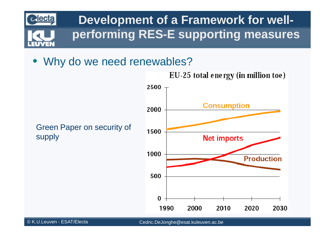

• Why do we need renewables?



EU-25 total energy (in million toe)

Cedric.DeJonghe@esat.kuleuven.ac.be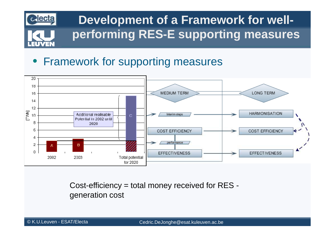

#### $\bullet$ Framework for supporting measures



Cost-efficiency = total money received for RES generation cost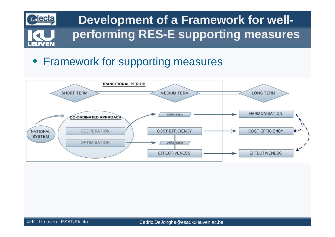

#### • Framework for supporting measures

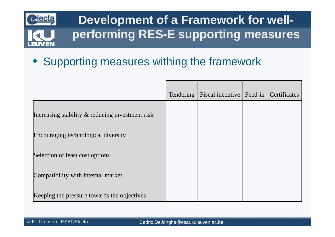

 $\bullet$ Supporting measures withing the framework

|                                                    | <b>Tendering</b> | Fiscal incentive   Feed-in   Certificates |  |
|----------------------------------------------------|------------------|-------------------------------------------|--|
| Increasing stability $\&$ reducing investment risk |                  |                                           |  |
| Encouraging technological diversity                |                  |                                           |  |
| Selection of least cost options                    |                  |                                           |  |
| Compatibility with internal market                 |                  |                                           |  |
| Keeping the pressure towards the objectives        |                  |                                           |  |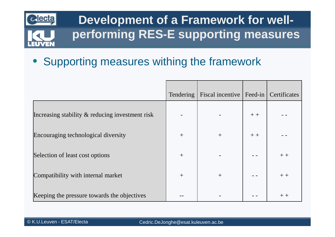

 $\bullet$ Supporting measures withing the framework

|                                                    | Tendering | Fiscal incentive   Feed-in   Certificates |      |      |
|----------------------------------------------------|-----------|-------------------------------------------|------|------|
| Increasing stability $\&$ reducing investment risk |           |                                           | $++$ |      |
| Encouraging technological diversity                | $+$       | $+$                                       | $++$ |      |
| Selection of least cost options                    | $+$       |                                           |      | $++$ |
| Compatibility with internal market                 | $+$       | $+$                                       |      | $++$ |
| Keeping the pressure towards the objectives        |           |                                           |      | $++$ |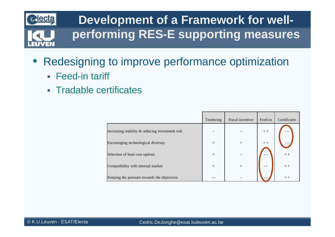

- $\bullet$  Redesigning to improve performance optimization
	- Feed-in tariff
	- Tradable certificates

|                                                 | Tendering | Fiscal incentive | Feed-in | Certificates |
|-------------------------------------------------|-----------|------------------|---------|--------------|
| Increasing stability & reducing investment risk |           |                  | $++$    |              |
| Encouraging technological diversity             | $^{+}$    | $+$              | $++$    |              |
| Selection of least cost options                 | $^{+}$    |                  |         | $++$         |
| Compatibility with internal market              | $^{+}$    | $^{+}$           |         | $++$         |
| Keeping the pressure towards the objectives     | --        |                  |         | $++$         |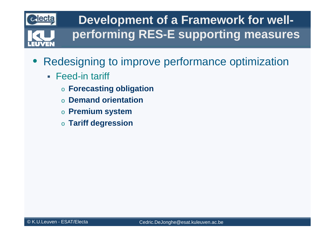

- $\bullet$  Redesigning to improve performance optimization
	- Feed-in tariff
		- o **Forecasting obligation**
		- o **Demand orientation**
		- o **Premium system**
		- o **Tariff degression**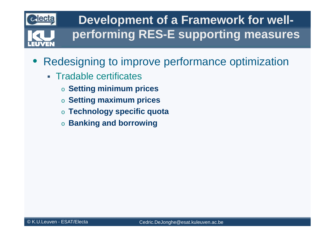

- $\bullet$  Redesigning to improve performance optimization
	- Tradable certificates
		- o **Setting minimum prices**
		- o **Setting maximum prices**
		- o **Technology specific quota**
		- $\circ$  Banking and borrowing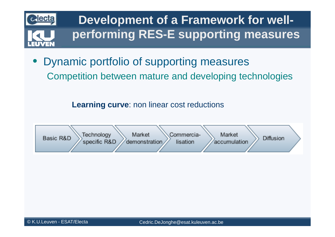

 $\bullet$  Dynamic portfolio of supporting measuresCompetition between mature and developing technologies

**Learning curve**: non linear cost reductions

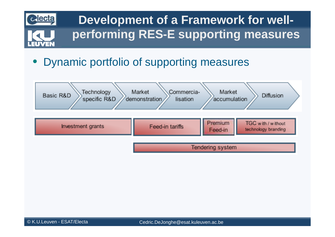

#### $\bullet$ Dynamic portfolio of supporting measures